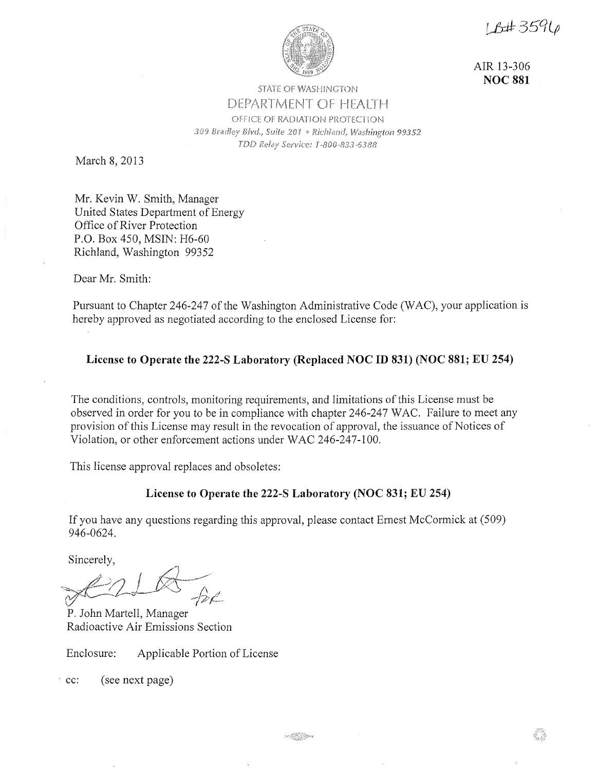1 R#3596



AIR 13-306 **NOC 881** 

## **STATE OF WASHINGTON** DEPARTMENT OF HEALTH OFFICE OF RADIATION PROTECTION *309 99352*  TDD Relay Service: 1-800-833-6388

March 8, 2013

Mr. Kevin W. Smith, Manager United States Department of Energy Office of River Protection P.O. Box 450, MSIN: H6-60 Richland, Washington 99352

Dear Mr. Smith:

Pursuant to Chapter 246-247 of the Washington Administrative Code (WAC), your application is hereby approved as negotiated according to the enclosed License for:

### **License to Operate the 222-S Laboratory (Replaced NOC ID 831) (NOC 881; EU 254)**

The conditions, controls, monitoring requirements, and limitations of this License must be observed in order for you to be in compliance with chapter 246-247 WAC. Failure to meet any provision of this License may result in the revocation of approval, the issuance of Notices of Violation, or other enforcement actions under WAC 246-247-100.

This license approval replaces and obsoletes:

### **License to Operate the 222-S Laboratory (NOC 831; EU 254)**

If you have any questions regarding this approval, please contact Ernest McCormick at (509) 946-0624.

Sincerely,

 $2/1$   $\overline{\mathbb{R}}$  $*$  11  $*$   $*$  $V = \frac{1}{\sqrt{2\pi}}$ 

P. John Martell, Manager Radioactive Air Emissions Section

Enclosure: Applicable Portion of License

- cc: (see next page)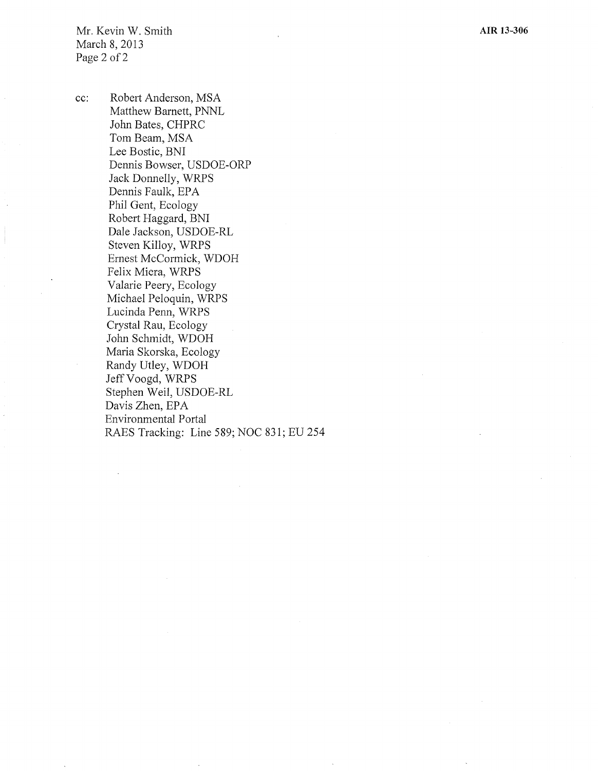Mr. Kevin W. Smith March 8, 2013 Page 2 of 2

cc: Robert Anderson, MSA Matthew Barnett, PNNL John Bates, CHPRC Tom Beam, MSA Lee Bostic, BNI Dennis Bowser, USDOE-ORP Jack Donnelly, WRPS Dennis Faulk, EPA Phil Gent, Ecology Robert Haggard, BNI Dale Jackson, USDOE-RL Steven Killoy, WRPS Ernest McCormick, WDOH Felix Miera, WRPS Valarie Peery, Ecology Michael Peloquin, WRPS Lucinda Penn, WRPS Crystal Rau, Ecology John Schmidt, WDOH Maria Skorska, Ecology Randy Utley, WDOH Jeff Voogd, WRPS Stephen Weil, USDOE-RL Davis Zhen, EPA Environmental Portal RAES Tracking: Line 589; NOC 831; EU 254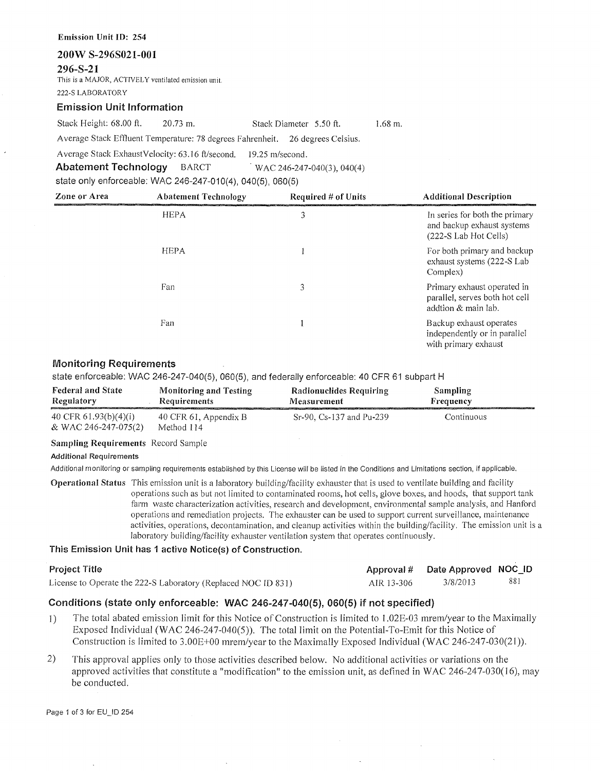# **Emission Unit** ID: 254 **200W S-296S021-001 296-S-21**  This is a MAJOR, ACTIVELY ventilated emission unit. 222-S LABORATORY

### **Emission Unit Information**

Stack Height: 68.00 ft. 20.73 m. Stack Diameter 5.50 ft.

1.68 m.

Average Stack Effluent Temperature: 78 degrees Fahrenheit. 26 degrees Celsius.

Average Stack Exhaust Velocity: 63 .16 ft/second. 19.25 m/second.

**Abatement Technology** BARCT WAC 246-247-040(3), 040(4)

state only enforceable: WAC 246-247-010(4), 040(5), 060(5)

| Zone or Area | <b>Abatement Technology</b> | Required $#$ of Units | <b>Additional Description</b>                                                         |
|--------------|-----------------------------|-----------------------|---------------------------------------------------------------------------------------|
|              | <b>HEPA</b>                 | 3                     | In series for both the primary<br>and backup exhaust systems<br>(222-S Lab Hot Cells) |
|              | <b>HEPA</b>                 |                       | For both primary and backup<br>exhaust systems (222-S Lab<br>Complex)                 |
|              | Fan                         | 3                     | Primary exhaust operated in<br>parallel, serves both hot cell<br>addtion & main lab.  |
|              | Fan                         |                       | Backup exhaust operates<br>independently or in parallel<br>with primary exhaust       |

### **Monitoring Requirements**

state enforceable: WAC 246-247-040(5), 060(5), and federally enforceable: 40 CFR 61 subpart H

| <b>Federal and State</b><br>Regulatory<br><b>MARKET AT A REPORT OF A STATE OF A STATE OF A STATE</b> | Monitoring and Testing<br><b>Requirements</b> | Radionuclides Requiring<br>Measurement | Sampling<br>Frequency |
|------------------------------------------------------------------------------------------------------|-----------------------------------------------|----------------------------------------|-----------------------|
| 40 CFR $61.93(b)(4)(i)$<br>& WAC 246-247-075(2)                                                      | 40 CFR 61, Appendix B<br>Method 114           | Sr-90, Cs-137 and Pu-239               | Continuous            |

### **Sampling Requirements** Record Sample

### **Additional Requirements**

Additional monitoring or sampling requirements established by this License will be listed in the Conditions and Limitations section, if applicable.

**Operational Status** This emission unit is a laboratory building/facility exhauster that is used to ventilate building and facility operations such as but not limited to contaminated rooms, hot cells, glove boxes, and hoods, that support tank farm waste characterization activities, research and development, environmental sample analysis, and Hanford operations and remediation projects. The exhauster can be used to support current surveillance, maintenance activities, operations, decontamination, and cleanup activities within the building/facility. The emission unit is a laboratory building/facility exhauster ventilation system that operates continuously.

### **This Emission Unit has 1 active Notice(s) of Construction.**

| <b>Project Title</b> |  |
|----------------------|--|
|----------------------|--|

License to Operate the 222-S Laboratory (Replaced NOC ID 831) AIR 13-306 3/8/2013 881

Approval # Date Approved NOC\_ID

### **Conditions (state only enforceable: WAC 246-247-040(5), 060(5)** if **not specified)**

- l) The total abated emission limit for this Notice of Construction is limited to l .02E-03 mrem/year to the Maximally Exposed Individual (WAC 246-247-040(5)). The total limit on the Potential-To-Emit for this Notice of Construction is limited to 3.00E+00 mrem/year to the Maximally Exposed Individual (WAC 246-247-030(21 )).
- 2) This approval applies only to those activities described below. No additional activities or variations on the approved activities that constitute a "modification" to the emission unit, as defined in WAC 246-247-030(16), may be conducted.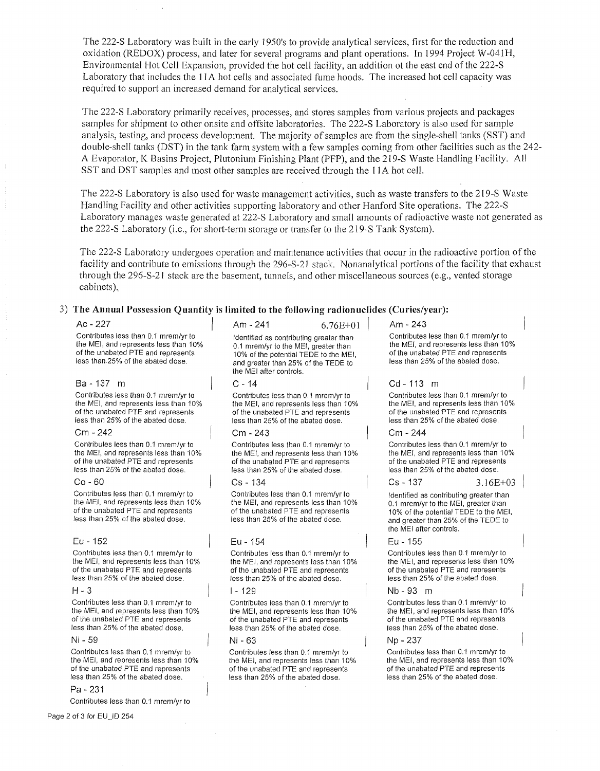The 222-S Laboratory was built in the early l 950's to provide analytical services, first for the reduction and oxidation (REDOX) process, and later for several programs and plant operations. In 1994 Project W-041 H, Environmental Hot Cell Expansion, provided the hot cell facility, an addition ot the east end of the 222-S Laboratory that includes the 11 A hot cells and associated fume hoods. The increased hot cell capacity was required to support an increased demand for analytical services.

The 222-S Laboratory primarily receives, processes, and stores samples from various projects and packages samples for shipment to other onsite and offsite laboratories. The 222-S Laboratory is also used for sample analysis, testing, and process development. The majority of samples are from the single-shell tanks (SST) and double-shell tanks (DST) in the tank farm system with a few samples coming from other facilities such as the 242- A Evaporator, K Basins Project, Plutonium Finishing Plant (PFP), and the 219-S Waste Handling Facility. All SST and DST samples and most other samples are received through the I IA hot cell.

The 222-S Laboratory is also used for waste management activities, such as waste transfers to the 219-S Waste Handling Facility and other activities supporting laboratory and other Hanford Site operations. The 222-S Laboratory manages waste generated at 222-S Laboratory and small amounts of radioactive waste not generated as the 222-S Laboratory (i.e., for short-term storage or transfer to the 219-S Tank System).

The 222-S Laboratory undergoes operation and maintenance activities that occur in the radioactive portion of the facility and contribute to emissions through the 296-S-21 stack. Nonanalytical portions of the facility that exhaust through the 296-S-21 stack are the basement, tunnels, and other miscellaneous sources (e.g., vented storage cabinets).

### 3) **The Annual Possession Quantity is limited to the following radionuclides (Curies/year):**

Contributes less than 0.1 mrem/yr to the MEI, and represents less than 10% of the unabated PTE and represents less than.25% of the abated dose.

#### Ba-137 m

Contributes less than 0.1 mrem/yr to the MEI, and represents less than 10% of the unabated PTE and represents less than 25% of the abated dose.

#### Cm - 242

Contributes less than 0.1 mrem/yr to the MEI, and represents less than 10% of the unabated PTE and represents less than 25% of the abated dose.

#### Co - 60

Contributes less than 0.1 mrem/yr to the MEI, and represents less than 10% of the unabated PTE and represents less than 25% of the abated dose.

#### Eu - 152

Contributes less than 0.1 mrem/yr to the MEI, and represents less than 10% of the unabated PTE and represents less than 25% of the abated dose.

#### H-3

Contributes less than 0.1 mrem/yr to the MEI, and represents less than 10% of the unabated PTE and represents less than 25% of the abated dose.

#### Ni - 59

Contributes less than 0.1 mrem/yr to the MEI, and represents less than 10% of the unabated PTE and represents less than 25% of the abated dose.

#### Pa - 231

Contributes less than 0.1 mrem/yr to

Ac - 227 **/ Am-241 6.76E+01** / Am-243 Identified as contributing greater than 0.1 mrem/yr to the MEI, greater than 10% of the potential TEDE to the MEI, and greater than 25% of the TEDE to the MEI after controls.

#### $C - 14$

Contributes less than 0.1 mrem/yr to the MEI, and represents less than 10% of the unabated PTE and represents less than 25% of the abated dose.

#### Cm - 243

Contributes less than 0.1 mrem/yr to the MEI, and represents less than 10% of the unabated PTE and represents less than 25% of the abated dose.

#### Cs - 134

Contributes less than 0.1 mrem/yr to the MEI, and represents less than 10% of the unabated PTE and represents less than 25% of the abated dose.

#### Eu - 154

Contributes less than 0.1 mrem/yr to the MEI, and represents less than 10% of the unabated PTE and represents less than 25% of the abated dose.

#### I - 129

Contributes less than 0.1 mrem/yr to the MEI, and represents less than 10% of the unabated PTE and represents less than 25% of the abated dose.

### Ni - 63

Contributes less than 0.1 mrem/yr to the MEI, and represents less than 10% of the unabated PTE and represents less than 25% of the abated dose.

Contributes less than 0.1 mrem/yr to the MEI, and represents less than 10% of the unabated PTE and represents less than 25% of the abated dose.

#### Cd - 113 m

Contributes less than 0.1 mrem/yr to the MEI, and represents less than 10% of the unabated PTE and represents less than 25% of the abated dose.

#### Cm - 244

Contributes less than 0.1 mrem/yr to the MEI, and represents less than 10% of the unabated PTE and represents less than 25% of the abated dose.

 $Cs - 137$   $3.16E + 03$ 

Identified as contributing greater than 0.1 mrem/yr to the MEI, greater than 10% of the potential TEDE to the MEI, and greater than 25% of the TEDE to the MEI after controls.

#### Eu - 155

Contributes less than 0.1 mrem/yr to the MEI, and represents less than 10% of the unabated PTE and represents less than 25% of the abated dose.

#### Nb - 93 m

Contributes less than 0.1 mrem/yr to the MEI, and represents less than 10% of the unabated PTE and represents less than 25% of the abated dose.

#### Np - 237

Contributes less than 0.1 mrem/yr to the MEI, and represents less than 10% of the unabated PTE and represents less than 25% of the abated dose.